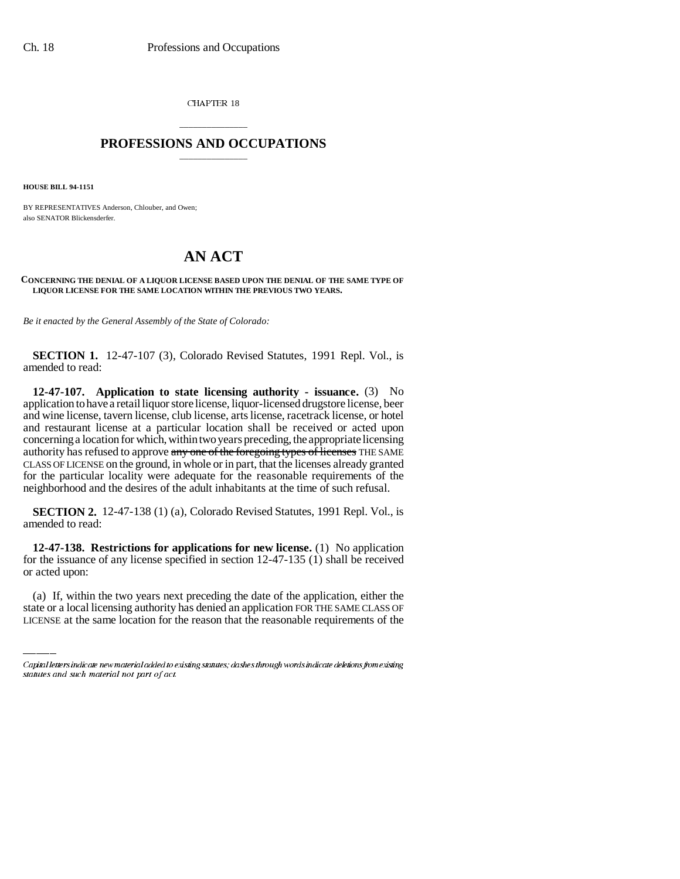CHAPTER 18

## \_\_\_\_\_\_\_\_\_\_\_\_\_\_\_ **PROFESSIONS AND OCCUPATIONS** \_\_\_\_\_\_\_\_\_\_\_\_\_\_\_

**HOUSE BILL 94-1151**

BY REPRESENTATIVES Anderson, Chlouber, and Owen; also SENATOR Blickensderfer.

## **AN ACT**

## **CONCERNING THE DENIAL OF A LIQUOR LICENSE BASED UPON THE DENIAL OF THE SAME TYPE OF LIQUOR LICENSE FOR THE SAME LOCATION WITHIN THE PREVIOUS TWO YEARS.**

*Be it enacted by the General Assembly of the State of Colorado:*

**SECTION 1.** 12-47-107 (3), Colorado Revised Statutes, 1991 Repl. Vol., is amended to read:

**12-47-107. Application to state licensing authority - issuance.** (3) No application to have a retail liquor store license, liquor-licensed drugstore license, beer and wine license, tavern license, club license, arts license, racetrack license, or hotel and restaurant license at a particular location shall be received or acted upon concerning a location for which, within two years preceding, the appropriate licensing authority has refused to approve any one of the foregoing types of licenses THE SAME CLASS OF LICENSE on the ground, in whole or in part, that the licenses already granted for the particular locality were adequate for the reasonable requirements of the neighborhood and the desires of the adult inhabitants at the time of such refusal.

**SECTION 2.** 12-47-138 (1) (a), Colorado Revised Statutes, 1991 Repl. Vol., is amended to read:

or acted upon: **12-47-138. Restrictions for applications for new license.** (1) No application for the issuance of any license specified in section 12-47-135 (1) shall be received

(a) If, within the two years next preceding the date of the application, either the state or a local licensing authority has denied an application FOR THE SAME CLASS OF LICENSE at the same location for the reason that the reasonable requirements of the

Capital letters indicate new material added to existing statutes; dashes through words indicate deletions from existing statutes and such material not part of act.